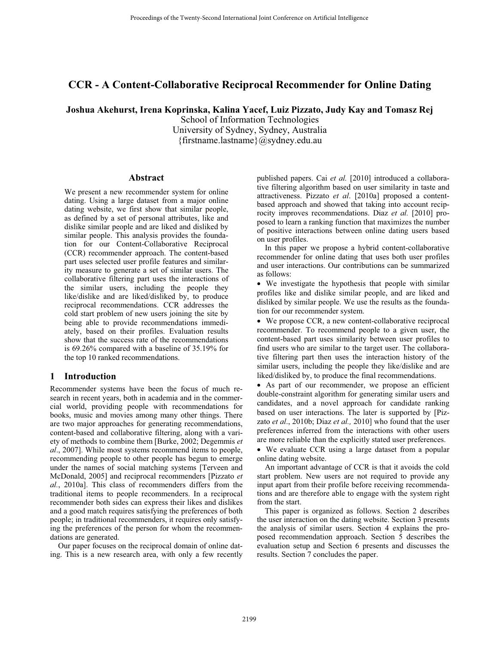# **CCR - A Content-Collaborative Reciprocal Recommender for Online Dating**

**Joshua Akehurst, Irena Koprinska, Kalina Yacef, Luiz Pizzato, Judy Kay and Tomasz Rej** 

School of Information Technologies University of Sydney, Sydney, Australia {firstname.lastname}@sydney.edu.au}

#### **Abstract**

We present a new recommender system for online dating. Using a large dataset from a major online dating website, we first show that similar people, as defined by a set of personal attributes, like and dislike similar people and are liked and disliked by similar people. This analysis provides the foundation for our Content-Collaborative Reciprocal (CCR) recommender approach. The content-based part uses selected user profile features and similarity measure to generate a set of similar users. The collaborative filtering part uses the interactions of the similar users, including the people they like/dislike and are liked/disliked by, to produce reciprocal recommendations. CCR addresses the cold start problem of new users joining the site by being able to provide recommendations immediately, based on their profiles. Evaluation results show that the success rate of the recommendations is 69.26% compared with a baseline of 35.19% for the top 10 ranked recommendations.

# **1 Introduction**

Recommender systems have been the focus of much research in recent years, both in academia and in the commercial world, providing people with recommendations for books, music and movies among many other things. There are two major approaches for generating recommendations, content-based and collaborative filtering, along with a variety of methods to combine them [Burke, 2002; Degemmis *et al*., 2007]. While most systems recommend items to people, recommending people to other people has begun to emerge under the names of social matching systems [Terveen and McDonald, 2005] and reciprocal recommenders [Pizzato *et al.*, 2010a]. This class of recommenders differs from the traditional items to people recommenders. In a reciprocal recommender both sides can express their likes and dislikes and a good match requires satisfying the preferences of both people; in traditional recommenders, it requires only satisfying the preferences of the person for whom the recommendations are generated.

Our paper focuses on the reciprocal domain of online dating. This is a new research area, with only a few recently

published papers. Cai *et al.* [2010] introduced a collaborative filtering algorithm based on user similarity in taste and attractiveness. Pizzato *et al*. [2010a] proposed a contentbased approach and showed that taking into account reciprocity improves recommendations. Diaz *et al.* [2010] proposed to learn a ranking function that maximizes the number of positive interactions between online dating users based on user profiles.

In this paper we propose a hybrid content-collaborative recommender for online dating that uses both user profiles and user interactions. Our contributions can be summarized as follows:

- We investigate the hypothesis that people with similar profiles like and dislike similar people, and are liked and disliked by similar people. We use the results as the foundation for our recommender system.

- We propose CCR, a new content-collaborative reciprocal recommender. To recommend people to a given user, the content-based part uses similarity between user profiles to find users who are similar to the target user. The collaborative filtering part then uses the interaction history of the similar users, including the people they like/dislike and are liked/disliked by, to produce the final recommendations.

- As part of our recommender, we propose an efficient double-constraint algorithm for generating similar users and candidates, and a novel approach for candidate ranking based on user interactions. The later is supported by [Pizzato *et al*., 2010b; Diaz *et al.,* 2010] who found that the user preferences inferred from the interactions with other users are more reliable than the explicitly stated user preferences.

- We evaluate CCR using a large dataset from a popular online dating website.

An important advantage of CCR is that it avoids the cold start problem. New users are not required to provide any input apart from their profile before receiving recommendations and are therefore able to engage with the system right from the start.

This paper is organized as follows. Section 2 describes the user interaction on the dating website. Section 3 presents the analysis of similar users. Section 4 explains the proposed recommendation approach. Section 5 describes the evaluation setup and Section 6 presents and discusses the results. Section 7 concludes the paper.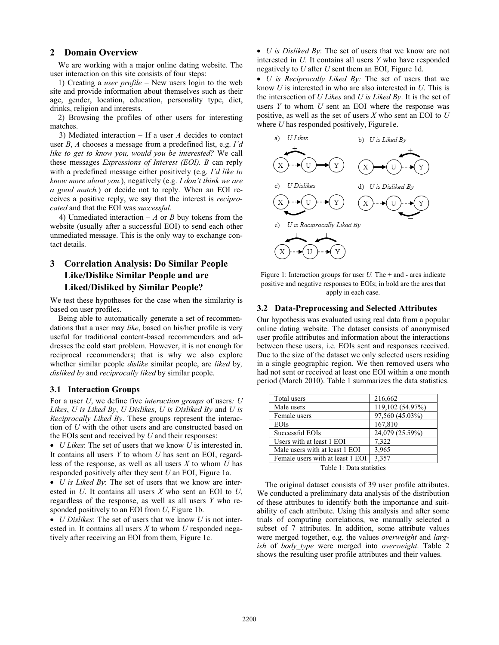### **2 Domain Overview**

We are working with a major online dating website. The user interaction on this site consists of four steps:

1) Creating a *user profile* – New users login to the web site and provide information about themselves such as their age, gender, location, education, personality type, diet, drinks, religion and interests.

2) Browsing the profiles of other users for interesting matches.

 3) Mediated interaction – If a user *A* decides to contact user *B*, *A* chooses a message from a predefined list, e.g. *I'd like to get to know you, would you be interested?* We call these messages *Expressions of Interest (EOI). B* can reply with a predefined message either positively (e.g. *I'd like to know more about you.*), negatively (e.g. *I don't think we are a good match.*) or decide not to reply. When an EOI receives a positive reply, we say that the interest is *reciprocated* and that the EOI was *successful.*

4) Unmediated interaction  $-A$  or *B* buy tokens from the website (usually after a successful EOI) to send each other unmediated message. This is the only way to exchange contact details.

# **3 Correlation Analysis: Do Similar People Like/Dislike Similar People and are Liked/Disliked by Similar People?**

We test these hypotheses for the case when the similarity is based on user profiles.

Being able to automatically generate a set of recommendations that a user may *like*, based on his/her profile is very useful for traditional content-based recommenders and addresses the cold start problem. However, it is not enough for reciprocal recommenders; that is why we also explore whether similar people *dislike* similar people, are *liked* by*, disliked by* and *reciprocally liked* by similar people.

# **3.1 Interaction Groups**

For a user *U*, we define five *interaction groups* of users*: U Likes*, *U is Liked By*, *U Dislikes*, *U is Disliked By* and *U is Reciprocally Liked By*. These groups represent the interaction of *U* with the other users and are constructed based on the EOIs sent and received by *U* and their responses:

- *U Likes*: The set of users that we know *U* is interested in. It contains all users *Y* to whom *U* has sent an EOI, regardless of the response, as well as all users *X* to whom *U* has responded positively after they sent *U* an EOI, Figure 1a.

- *U is Liked By*: The set of users that we know are interested in *U*. It contains all users *X* who sent an EOI to *U*, regardless of the response, as well as all users *Y* who responded positively to an EOI from *U*, Figure 1b.

- *U Dislikes*: The set of users that we know *U* is not interested in. It contains all users *X* to whom *U* responded negatively after receiving an EOI from them, Figure 1c.

- *U is Disliked By*: The set of users that we know are not interested in *U*. It contains all users *Y* who have responded negatively to *U* after *U* sent them an EOI, Figure 1d.

- *U is Reciprocally Liked By:* The set of users that we know *U* is interested in who are also interested in *U*. This is the intersection of *U Likes* and *U is Liked By*. It is the set of users *Y* to whom *U* sent an EOI where the response was positive, as well as the set of users *X* who sent an EOI to *U* where *U* has responded positively, Figure1e.



Figure 1: Interaction groups for user *U*. The + and - arcs indicate positive and negative responses to EOIs; in bold are the arcs that apply in each case.

#### **3.2 Data-Preprocessing and Selected Attributes**

Our hypothesis was evaluated using real data from a popular online dating website. The dataset consists of anonymised user profile attributes and information about the interactions between these users, i.e. EOIs sent and responses received. Due to the size of the dataset we only selected users residing in a single geographic region. We then removed users who had not sent or received at least one EOI within a one month period (March 2010). Table 1 summarizes the data statistics.

| Total users                      | 216,662          |  |  |  |
|----------------------------------|------------------|--|--|--|
| Male users                       | 119,102 (54.97%) |  |  |  |
| Female users                     | 97,560 (45.03%)  |  |  |  |
| <b>EOIs</b>                      | 167,810          |  |  |  |
| Successful EOIs                  | 24,079 (25.59%)  |  |  |  |
| Users with at least 1 EOI        | 7,322            |  |  |  |
| Male users with at least 1 EOI   | 3,965            |  |  |  |
| Female users with at least 1 EOI | 3,357            |  |  |  |
| Takla 1. Data atatistica         |                  |  |  |  |

Table 1: Data statistics

The original dataset consists of 39 user profile attributes. We conducted a preliminary data analysis of the distribution of these attributes to identify both the importance and suitability of each attribute. Using this analysis and after some trials of computing correlations, we manually selected a subset of 7 attributes. In addition, some attribute values were merged together, e.g. the values *overweight* and *largish* of *body\_type* were merged into *overweight*. Table 2 shows the resulting user profile attributes and their values.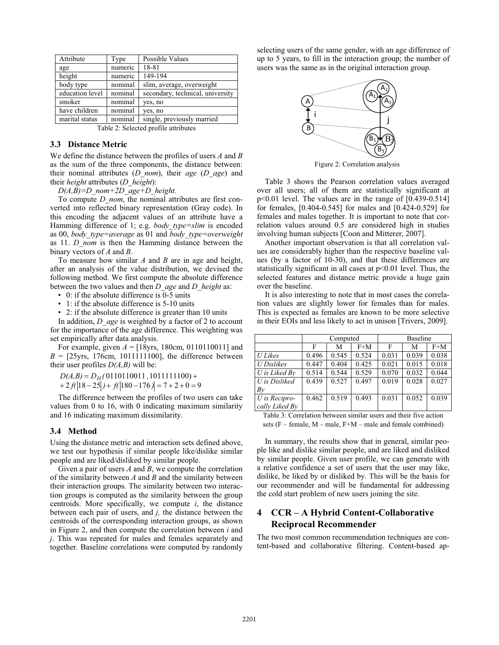| Attribute       | Type    | Possible Values                  |
|-----------------|---------|----------------------------------|
| age             | numeric | 18-81                            |
| height          | numeric | 149-194                          |
| body type       | nominal | slim, average, overweight        |
| education level | nominal | secondary, technical, university |
| smoker          | nominal | yes, no                          |
| have children   | nominal | yes, no                          |
| marital status  | nominal | single, previously married       |

Table 2: Selected profile attributes

### **3.3 Distance Metric**

We define the distance between the profiles of users *A* and *B* as the sum of the three components, the distance between: their nominal attributes (*D\_nom*), their *age* (*D\_age*) and their *height* attributes (*D\_height*):

*D(A,B)=D\_nom+2D\_age+D\_height.* 

To compute *D\_nom*, the nominal attributes are first converted into reflected binary representation (Gray code). In this encoding the adjacent values of an attribute have a Hamming difference of 1; e.g. *body\_type=slim* is encoded as 00, *body\_type=average* as 01 and *body\_type=overweight* as 11. *D\_nom* is then the Hamming distance between the binary vectors of *A* and *B*.

To measure how similar *A* and *B* are in age and height, after an analysis of the value distribution, we devised the following method. We first compute the absolute difference between the two values and then *D\_age* and *D\_height* as:

• 0: if the absolute difference is 0-5 units

- 1: if the absolute difference is 5-10 units
- 2: if the absolute difference is greater than 10 units

In addition, *D\_age* is weighted by a factor of 2 to account for the importance of the age difference. This weighting was set empirically after data analysis.

For example, given  $A = [18yrs, 180cm, 0110110011]$  and  $B = [25 \text{yrs}, 176 \text{cm}, 1011111100]$ , the difference between their user profiles  $D(A,B)$  will be:

0110110011 1011111100)  $= D_{tt} (0110110011, 1011111100) +$  $D(A,B) = D_H(0110110011)$ 

 $2f(|18-25|) + f(|180-176)| = 7 + 2 + 0 = 9$  $+2f(18-25)+f(180-176) = 7+2+0=$ *f()f( )*

The difference between the profiles of two users can take values from 0 to 16, with 0 indicating maximum similarity and 16 indicating maximum dissimilarity.

# **3.4 Method**

Using the distance metric and interaction sets defined above, we test our hypothesis if similar people like/dislike similar people and are liked/disliked by similar people.

Given a pair of users *A* and *B*, we compute the correlation of the similarity between *A* and *B* and the similarity between their interaction groups. The similarity between two interaction groups is computed as the similarity between the group centroids. More specifically, we compute *i*, the distance between each pair of users, and *j,* the distance between the centroids of the corresponding interaction groups, as shown in Figure 2, and then compute the correlation between *i* and *j*. This was repeated for males and females separately and together. Baseline correlations were computed by randomly

selecting users of the same gender, with an age difference of up to 5 years, to fill in the interaction group; the number of users was the same as in the original interaction group.



Figure 2: Correlation analysis

Table 3 shows the Pearson correlation values averaged over all users; all of them are statistically significant at p<0.01 level. The values are in the range of [0.439-0.514] for females, [0.404-0.545] for males and [0.424-0.529] for females and males together. It is important to note that correlation values around 0.5 are considered high in studies involving human subjects [Coon and Mitterer, 2007].

Another important observation is that all correlation values are considerably higher than the respective baseline values (by a factor of 10-30), and that these differences are statistically significant in all cases at  $p<0.01$  level. Thus, the selected features and distance metric provide a huge gain over the baseline.

It is also interesting to note that in most cases the correlation values are slightly lower for females than for males. This is expected as females are known to be more selective in their EOIs and less likely to act in unison [Trivers, 2009].

|                   |       | Computed |       | Baseline |       |       |  |
|-------------------|-------|----------|-------|----------|-------|-------|--|
|                   | F     | M        | $F+M$ | F        | M     | $F+M$ |  |
| <b>U</b> Likes    | 0.496 | 0.545    | 0.524 | 0.031    | 0.039 | 0.038 |  |
| <b>U</b> Dislikes | 0.447 | 0.404    | 0.425 | 0.021    | 0.015 | 0.018 |  |
| $U$ is Liked $Bv$ | 0.514 | 0.544    | 0.529 | 0.070    | 0.032 | 0.044 |  |
| U is Disliked     | 0.439 | 0.527    | 0.497 | 0.019    | 0.028 | 0.027 |  |
| Bv                |       |          |       |          |       |       |  |
| U is Recipro-     | 0.462 | 0.519    | 0.493 | 0.031    | 0.052 | 0.039 |  |
| cally Liked By    |       |          |       |          |       |       |  |

Table 3: Correlation between similar users and their five action sets  $(F - female, M - male, F + M - male$  and female combined)

In summary, the results show that in general, similar people like and dislike similar people, and are liked and disliked by similar people. Given user profile, we can generate with a relative confidence a set of users that the user may like, dislike, be liked by or disliked by. This will be the basis for our recommender and will be fundamental for addressing the cold start problem of new users joining the site.

# **4 CCR – A Hybrid Content-Collaborative Reciprocal Recommender**

The two most common recommendation techniques are content-based and collaborative filtering. Content-based ap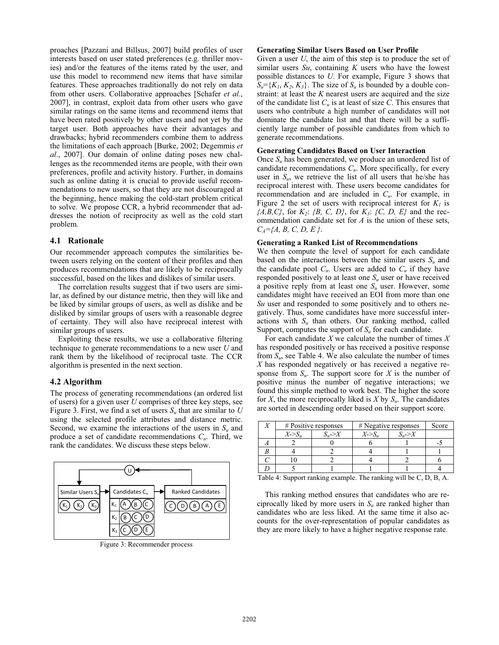proaches [Pazzani and Billsus, 2007] build profiles of user interests based on user stated preferences (e.g. thriller movies) and/or the features of the items rated by the user, and use this model to recommend new items that have similar features. These approaches traditionally do not rely on data from other users. Collaborative approaches [Schafer *et al.*, 2007], in contrast, exploit data from other users who gave similar ratings on the same items and recommend items that have been rated positively by other users and not yet by the target user. Both approaches have their advantages and drawbacks; hybrid recommenders combine them to address the limitations of each approach [Burke, 2002; Degemmis *et al*., 2007]. Our domain of online dating poses new challenges as the recommended items are people, with their own preferences, profile and activity history. Further, in domains such as online dating it is crucial to provide useful recommendations to new users, so that they are not discouraged at the beginning, hence making the cold-start problem critical to solve. We propose CCR, a hybrid recommender that addresses the notion of reciprocity as well as the cold start problem.

#### **4.1 Rationale**

Our recommender approach computes the similarities between users relying on the content of their profiles and then produces recommendations that are likely to be reciprocally successful, based on the likes and dislikes of similar users.

The correlation results suggest that if two users are similar, as defined by our distance metric, then they will like and be liked by similar groups of users, as well as dislike and be disliked by similar groups of users with a reasonable degree of certainty. They will also have reciprocal interest with similar groups of users.

Exploiting these results, we use a collaborative filtering technique to generate recommendations to a new user *U* and rank them by the likelihood of reciprocal taste. The CCR algorithm is presented in the next section.

# **4.2 Algorithm**

The process of generating recommendations (an ordered list of users) for a given user *U* comprises of three key steps, see Figure 3. First, we find a set of users *Su* that are similar to *U* using the selected profile attributes and distance metric. Second, we examine the interactions of the users in *Su* and produce a set of candidate recommendations *Cu*. Third, we rank the candidates. We discuss these steps below.



Figure 3: Recommender process

#### **Generating Similar Users Based on User Profile**

Given a user *U*, the aim of this step is to produce the set of similar users *Su*, containing *K* users who have the lowest possible distances to *U*. For example, Figure 3 shows that  $S_u = \{K_1, K_2, K_3\}$ . The size of  $S_u$  is bounded by a double constraint: at least the *K* nearest users are acquired and the size of the candidate list  $C_u$  is at least of size  $C$ . This ensures that users who contribute a high number of candidates will not dominate the candidate list and that there will be a sufficiently large number of possible candidates from which to generate recommendations.

#### **Generating Candidates Based on User Interaction**

Once *Su* has been generated, we produce an unordered list of candidate recommendations *Cu*. More specifically, for every user in  $S_u$ , we retrieve the list of all users that he/she has reciprocal interest with. These users become candidates for recommendation and are included in *Cu*. For example, in Figure 2 the set of users with reciprocal interest for  $K_I$  is *{A,B,C}*, for *K2*: *{B, C, D}*, for *K3*: *{C, D, E}* and the recommendation candidate set for *A* is the union of these sets, *CA={A, B, C, D, E }*.

#### **Generating a Ranked List of Recommendations**

We then compute the level of support for each candidate based on the interactions between the similar users  $S_u$  and the candidate pool  $C_u$ . Users are added to  $C_u$  if they have responded positively to at least one  $S_u$  user or have received a positive reply from at least one *Su* user. However, some candidates might have received an EOI from more than one *Su* user and responded to some positively and to others negatively. Thus, some candidates have more successful interactions with  $S_u$  than others. Our ranking method, called Support, computes the support of  $S_u$  for each candidate.

For each candidate *X* we calculate the number of times *X* has responded positively or has received a positive response from *Su*, see Table 4. We also calculate the number of times *X* has responded negatively or has received a negative response from  $S_u$ . The support score for *X* is the number of positive minus the number of negative interactions; we found this simple method to work best. The higher the score for *X*, the more reciprocally liked is *X* by  $S_u$ . The candidates are sorted in descending order based on their support score.

| le attributes and anstance mente.<br>interactions of the users in $S_u$ and<br>e recommendations $C_{\mu}$ . Third, we |  | # Positive responses |               | # Negative responses   |               | Score |
|------------------------------------------------------------------------------------------------------------------------|--|----------------------|---------------|------------------------|---------------|-------|
|                                                                                                                        |  | $X\llap{-}S_n$       | $S_{\nu} > X$ | $X\rightarrow S_{\nu}$ | $S_{\nu} > X$ |       |
| iscuss these steps below.                                                                                              |  |                      |               |                        |               |       |
|                                                                                                                        |  |                      |               |                        |               |       |
|                                                                                                                        |  |                      |               |                        |               |       |
|                                                                                                                        |  |                      |               |                        |               |       |

Table 4: Support ranking example. The ranking will be C, D, B, A.

This ranking method ensures that candidates who are reciprocally liked by more users in *Su* are ranked higher than candidates who are less liked. At the same time it also accounts for the over-representation of popular candidates as they are more likely to have a higher negative response rate.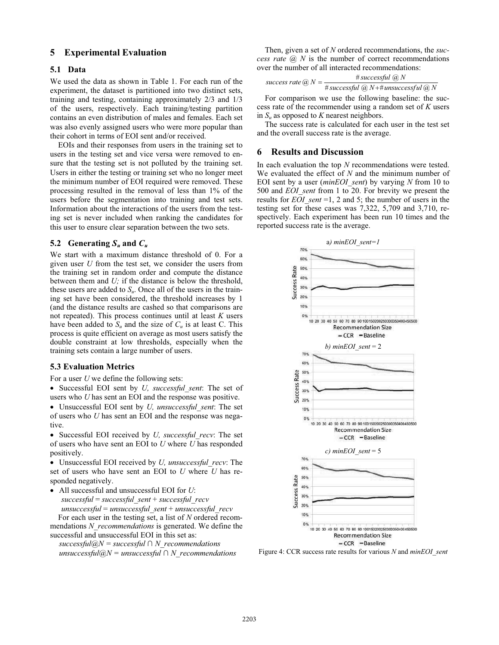## **5 Experimental Evaluation**

### **5.1 Data**

We used the data as shown in Table 1. For each run of the experiment, the dataset is partitioned into two distinct sets, training and testing, containing approximately 2/3 and 1/3 of the users, respectively. Each training/testing partition contains an even distribution of males and females. Each set was also evenly assigned users who were more popular than their cohort in terms of EOI sent and/or received.

EOIs and their responses from users in the training set to users in the testing set and vice versa were removed to ensure that the testing set is not polluted by the training set. Users in either the testing or training set who no longer meet the minimum number of EOI required were removed. These processing resulted in the removal of less than 1% of the users before the segmentation into training and test sets. Information about the interactions of the users from the testing set is never included when ranking the candidates for this user to ensure clear separation between the two sets.

### **5.2** Generating  $S_u$  and  $C_u$

We start with a maximum distance threshold of 0. For a given user *U* from the test set, we consider the users from the training set in random order and compute the distance between them and *U;* if the distance is below the threshold, these users are added to  $S_u$ . Once all of the users in the training set have been considered, the threshold increases by 1 (and the distance results are cashed so that comparisons are not repeated). This process continues until at least *K* users have been added to  $S_u$  and the size of  $C_u$  is at least C. This process is quite efficient on average as most users satisfy the double constraint at low thresholds, especially when the training sets contain a large number of users.

#### **5.3 Evaluation Metrics**

For a user *U* we define the following sets:

- Successful EOI sent by *U, successful\_sent*: The set of users who *U* has sent an EOI and the response was positive.
- Unsuccessful EOI sent by *U, unsuccessful\_sent*: The set of users who *U* has sent an EOI and the response was negative.

- Successful EOI received by *U, successful\_recv*: The set of users who have sent an EOI to *U* where *U* has responded positively.

- Unsuccessful EOI received by *U, unsuccessful\_recv*: The set of users who have sent an EOI to *U* where *U* has responded negatively.

- All successful and unsuccessful EOI for *U*: *successful* = *successful\_sent* + *successful\_recv unsuccessful* = *unsuccessful\_sent* + *unsuccessful\_recv*

For each user in the testing set, a list of *N* ordered recommendations *N\_recommendations* is generated. We define the successful and unsuccessful EOI in this set as:

 $successful@N = successful \cap N\_recommendations$  $unsucceed@N = unsuccessful@N =$ 

Then, given a set of *N* ordered recommendations, the *success rate*  $\overline{a}$  *N* is the number of correct recommendations over the number of all interacted recommendations:

$$
success\ rate\ @\ N = \frac{\# successful\ @\ N}{\# successful\ @\ N + \# unsuccessful\ @\ N}
$$

For comparison we use the following baseline: the success rate of the recommender using a random set of *K* users in  $S_u$  as opposed to  $K$  nearest neighbors.

The success rate is calculated for each user in the test set and the overall success rate is the average.

# **6 Results and Discussion**

In each evaluation the top *N* recommendations were tested. We evaluated the effect of *N* and the minimum number of EOI sent by a user (*minEOI\_sent*) by varying *N* from 10 to 500 and *EOI\_sent* from 1 to 20. For brevity we present the results for *EOI* sent =1, 2 and 5; the number of users in the testing set for these cases was 7,322, 5,709 and 3,710, respectively. Each experiment has been run 10 times and the reported success rate is the average.



Figure 4: CCR success rate results for various *N* and *minEOI\_sent*